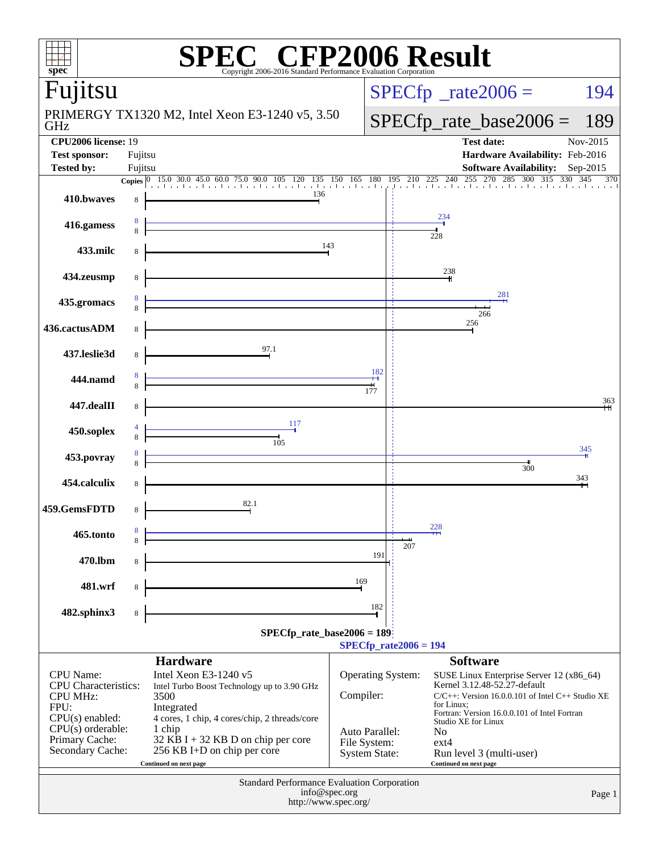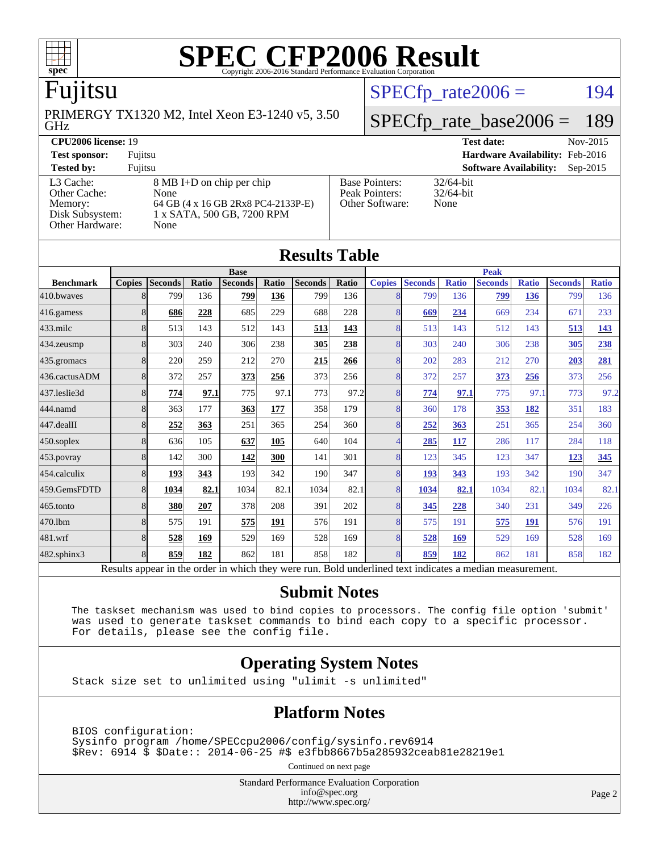

## Fujitsu

GHz PRIMERGY TX1320 M2, Intel Xeon E3-1240 v5, 3.50  $SPECTp_rate2006 = 194$ 

# [SPECfp\\_rate\\_base2006 =](http://www.spec.org/auto/cpu2006/Docs/result-fields.html#SPECfpratebase2006) 189

| <b>CPU2006 license: 19</b> |                                    | Nov-2015<br><b>Test date:</b> |                                             |
|----------------------------|------------------------------------|-------------------------------|---------------------------------------------|
| <b>Test sponsor:</b>       | Fujitsu                            |                               | Hardware Availability: Feb-2016             |
| <b>Tested by:</b>          | Fujitsu                            |                               | <b>Software Availability:</b><br>$Sep-2015$ |
| L3 Cache:                  | 8 MB I+D on chip per chip          | <b>Base Pointers:</b>         | $32/64$ -bit                                |
| Other Cache:               | None                               | Peak Pointers:                | $32/64$ -bit                                |
| Memory:                    | 64 GB (4 x 16 GB 2Rx8 PC4-2133P-E) | Other Software:               | None                                        |
| Disk Subsystem:            | 1 x SATA, 500 GB, 7200 RPM         |                               |                                             |
| Other Hardware:            | None                               |                               |                                             |

**[Results Table](http://www.spec.org/auto/cpu2006/Docs/result-fields.html#ResultsTable)**

| Results Tavic |      |                                                                                                     |                |       |                |       |                          |                |                                           |                |              |                |              |
|---------------|------|-----------------------------------------------------------------------------------------------------|----------------|-------|----------------|-------|--------------------------|----------------|-------------------------------------------|----------------|--------------|----------------|--------------|
| <b>Base</b>   |      |                                                                                                     |                |       | <b>Peak</b>    |       |                          |                |                                           |                |              |                |              |
| <b>Copies</b> |      | Ratio                                                                                               | <b>Seconds</b> | Ratio | <b>Seconds</b> | Ratio | <b>Copies</b>            | <b>Seconds</b> | <b>Ratio</b>                              | <b>Seconds</b> | <b>Ratio</b> | <b>Seconds</b> | <b>Ratio</b> |
|               | 799  | 136                                                                                                 | 799            | 136   | 799            | 136   | 8                        | 799            | 136                                       | 799            | 136          | 799            | 136          |
|               | 686  | 228                                                                                                 | 685            | 229   | 688            | 228   |                          | 669            | 234                                       | 669            | 234          | 671            | 233          |
|               | 513  | 143                                                                                                 | 512            | 143   | 513            | 143   |                          | 513            | 143                                       | 512            | 143          | 513            | <u>143</u>   |
|               | 303  | 240                                                                                                 | 306            | 238   | 305            | 238   | 8                        | 303            | 240                                       | 306            | 238          | 305            | 238          |
|               | 220  | 259                                                                                                 | 212            | 270   | 215            | 266   | 8                        | 202            | 283                                       | 212            | 270          | 203            | 281          |
|               | 372  | 257                                                                                                 | 373            | 256   | 373            | 256   | 8                        | 372            | 257                                       | 373            | 256          | 373            | 256          |
|               | 774  |                                                                                                     | 775            | 97.1  | 773            |       | 8                        | 774            | 97.1                                      | 775            |              | 773            | 97.2         |
|               | 363  | 177                                                                                                 | 363            | 177   | 358            | 179   |                          | 360            | 178                                       | 353            | 182          | 351            | 183          |
|               | 252  | 363                                                                                                 | 251            | 365   | 254            | 360   |                          | 252            | 363                                       | 251            | 365          | 254            | 360          |
|               | 636  | 105                                                                                                 | 637            | 105   | 640            | 104   | $\overline{\mathcal{A}}$ | 285            | 117                                       | 286            | 117          | 284            | 118          |
|               | 142  | 300                                                                                                 | 142            | 300   | 141            | 301   |                          | 123            | 345                                       | 123            | 347          | 123            | 345          |
|               | 193  | 343                                                                                                 | 193            | 342   | 190            | 347   |                          | 193            | 343                                       | 193            | 342          | 190            | 347          |
|               | 1034 | 82.1                                                                                                | 1034           | 82.1  | 1034           |       |                          | 1034           | 82.1                                      | 1034           | 82.1         | 1034           | 82.1         |
|               | 380  | 207                                                                                                 | 378            | 208   | 391            | 202   |                          | 345            | 228                                       | 340            | 231          | 349            | 226          |
|               | 575  | 191                                                                                                 | 575            | 191   | 576            | 191   |                          | 575            | 191                                       | 575            | 191          | 576            | 191          |
|               | 528  | 169                                                                                                 | 529            | 169   | 528            | 169   | 8                        | 528            | 169                                       | 529            | 169          | 528            | 169          |
|               | 859  | 182                                                                                                 | 862            | 181   | 858            | 182   | 8                        | 859            | 182                                       | 862            | 181          | 858            | 182          |
|               |      | <b>Seconds</b><br>8<br>8<br>8<br>8<br>8<br>8<br>8<br>8<br>8<br>8<br>8<br>8<br>8<br>8<br>8<br>8<br>8 |                | 97.1  |                |       |                          | 97.2<br>82.1   | 8<br>8<br>8<br>8<br>8<br>8<br>8<br>8<br>8 |                |              |                | 97.1         |

Results appear in the [order in which they were run.](http://www.spec.org/auto/cpu2006/Docs/result-fields.html#RunOrder) Bold underlined text [indicates a median measurement.](http://www.spec.org/auto/cpu2006/Docs/result-fields.html#Median)

#### **[Submit Notes](http://www.spec.org/auto/cpu2006/Docs/result-fields.html#SubmitNotes)**

 The taskset mechanism was used to bind copies to processors. The config file option 'submit' was used to generate taskset commands to bind each copy to a specific processor. For details, please see the config file.

#### **[Operating System Notes](http://www.spec.org/auto/cpu2006/Docs/result-fields.html#OperatingSystemNotes)**

Stack size set to unlimited using "ulimit -s unlimited"

#### **[Platform Notes](http://www.spec.org/auto/cpu2006/Docs/result-fields.html#PlatformNotes)**

 BIOS configuration: Sysinfo program /home/SPECcpu2006/config/sysinfo.rev6914 \$Rev: 6914 \$ \$Date:: 2014-06-25 #\$ e3fbb8667b5a285932ceab81e28219e1

Continued on next page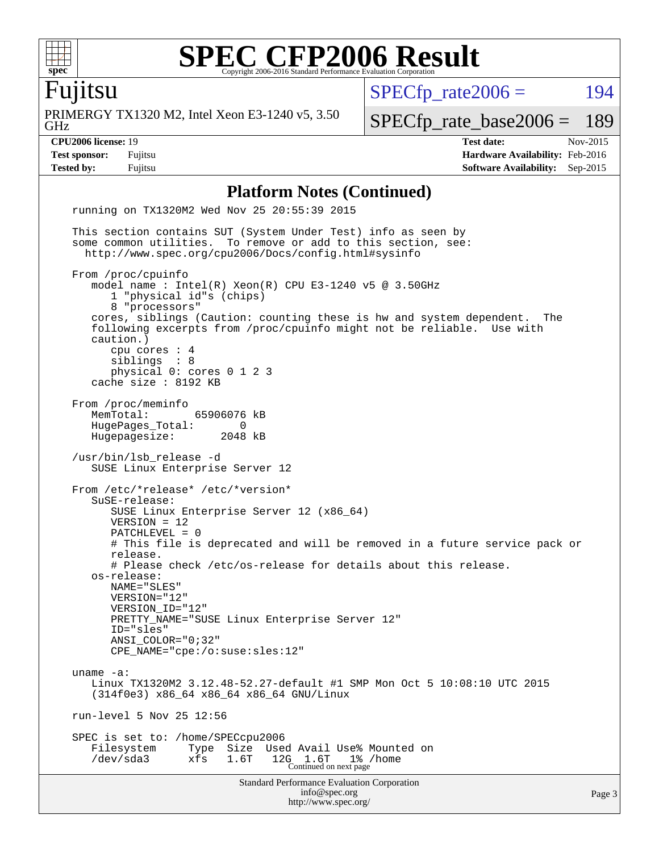

# Fujitsu

GHz PRIMERGY TX1320 M2, Intel Xeon E3-1240 v5, 3.50  $SPECfp_rate2006 = 194$  $SPECfp_rate2006 = 194$ 

[SPECfp\\_rate\\_base2006 =](http://www.spec.org/auto/cpu2006/Docs/result-fields.html#SPECfpratebase2006) 189 **[CPU2006 license:](http://www.spec.org/auto/cpu2006/Docs/result-fields.html#CPU2006license)** 19 **[Test date:](http://www.spec.org/auto/cpu2006/Docs/result-fields.html#Testdate)** Nov-2015 **[Test sponsor:](http://www.spec.org/auto/cpu2006/Docs/result-fields.html#Testsponsor)** Fujitsu **[Hardware Availability:](http://www.spec.org/auto/cpu2006/Docs/result-fields.html#HardwareAvailability)** Feb-2016

#### **[Platform Notes \(Continued\)](http://www.spec.org/auto/cpu2006/Docs/result-fields.html#PlatformNotes)**

**[Tested by:](http://www.spec.org/auto/cpu2006/Docs/result-fields.html#Testedby)** Fujitsu **[Software Availability:](http://www.spec.org/auto/cpu2006/Docs/result-fields.html#SoftwareAvailability)** Sep-2015

Standard Performance Evaluation Corporation [info@spec.org](mailto:info@spec.org) <http://www.spec.org/> Page 3 running on TX1320M2 Wed Nov 25 20:55:39 2015 This section contains SUT (System Under Test) info as seen by some common utilities. To remove or add to this section, see: <http://www.spec.org/cpu2006/Docs/config.html#sysinfo> From /proc/cpuinfo model name : Intel(R) Xeon(R) CPU E3-1240 v5 @ 3.50GHz 1 "physical id"s (chips) 8 "processors" cores, siblings (Caution: counting these is hw and system dependent. The following excerpts from /proc/cpuinfo might not be reliable. Use with caution.) cpu cores : 4 siblings : 8 physical 0: cores 0 1 2 3 cache size : 8192 KB From /proc/meminfo<br>MemTotal: 65906076 kB HugePages\_Total: 0 Hugepagesize: 2048 kB /usr/bin/lsb\_release -d SUSE Linux Enterprise Server 12 From /etc/\*release\* /etc/\*version\* SuSE-release: SUSE Linux Enterprise Server 12 (x86\_64) VERSION = 12 PATCHLEVEL = 0 # This file is deprecated and will be removed in a future service pack or release. # Please check /etc/os-release for details about this release. os-release: NAME="SLES" VERSION="12" VERSION\_ID="12" PRETTY\_NAME="SUSE Linux Enterprise Server 12" ID="sles" ANSI\_COLOR="0;32" CPE\_NAME="cpe:/o:suse:sles:12" uname -a: Linux TX1320M2 3.12.48-52.27-default #1 SMP Mon Oct 5 10:08:10 UTC 2015 (314f0e3) x86\_64 x86\_64 x86\_64 GNU/Linux run-level 5 Nov 25 12:56 SPEC is set to: /home/SPECcpu2006 Filesystem Type Size Used Avail Use% Mounted on /dev/sda3 xfs 1.6T 12G 1.6T 1% /home Continued on next page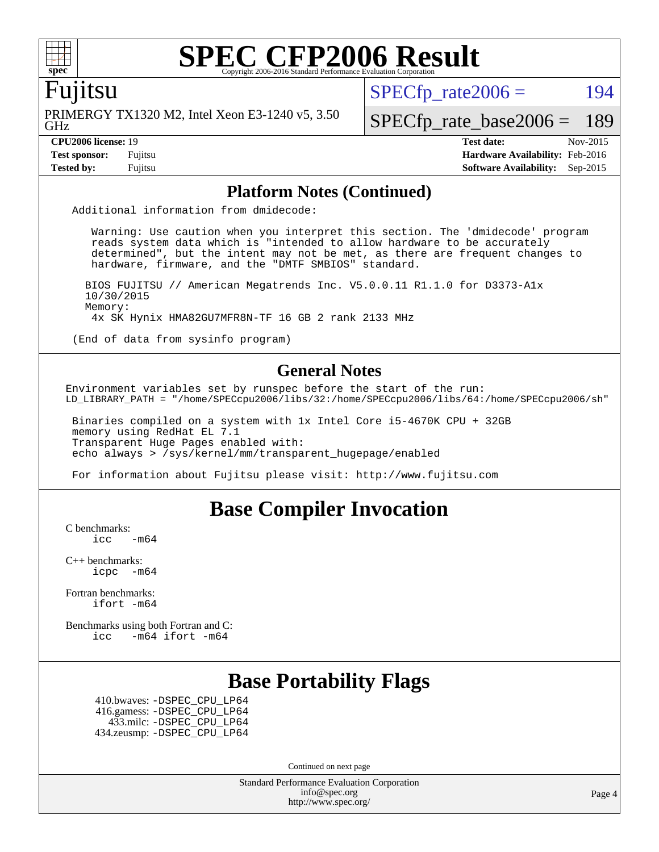

#### Fujitsu

GHz PRIMERGY TX1320 M2, Intel Xeon E3-1240 v5, 3.50  $SPECTp\_rate2006 = 194$ 

[SPECfp\\_rate\\_base2006 =](http://www.spec.org/auto/cpu2006/Docs/result-fields.html#SPECfpratebase2006) 189

**[CPU2006 license:](http://www.spec.org/auto/cpu2006/Docs/result-fields.html#CPU2006license)** 19 **[Test date:](http://www.spec.org/auto/cpu2006/Docs/result-fields.html#Testdate)** Nov-2015 **[Test sponsor:](http://www.spec.org/auto/cpu2006/Docs/result-fields.html#Testsponsor)** Fujitsu **[Hardware Availability:](http://www.spec.org/auto/cpu2006/Docs/result-fields.html#HardwareAvailability)** Feb-2016 **[Tested by:](http://www.spec.org/auto/cpu2006/Docs/result-fields.html#Testedby)** Fujitsu **[Software Availability:](http://www.spec.org/auto/cpu2006/Docs/result-fields.html#SoftwareAvailability)** Sep-2015

#### **[Platform Notes \(Continued\)](http://www.spec.org/auto/cpu2006/Docs/result-fields.html#PlatformNotes)**

Additional information from dmidecode:

 Warning: Use caution when you interpret this section. The 'dmidecode' program reads system data which is "intended to allow hardware to be accurately determined", but the intent may not be met, as there are frequent changes to hardware, firmware, and the "DMTF SMBIOS" standard.

 BIOS FUJITSU // American Megatrends Inc. V5.0.0.11 R1.1.0 for D3373-A1x 10/30/2015 Memory: 4x SK Hynix HMA82GU7MFR8N-TF 16 GB 2 rank 2133 MHz

(End of data from sysinfo program)

#### **[General Notes](http://www.spec.org/auto/cpu2006/Docs/result-fields.html#GeneralNotes)**

Environment variables set by runspec before the start of the run: LD\_LIBRARY\_PATH = "/home/SPECcpu2006/libs/32:/home/SPECcpu2006/libs/64:/home/SPECcpu2006/sh"

 Binaries compiled on a system with 1x Intel Core i5-4670K CPU + 32GB memory using RedHat EL 7.1 Transparent Huge Pages enabled with: echo always > /sys/kernel/mm/transparent\_hugepage/enabled

For information about Fujitsu please visit: <http://www.fujitsu.com>

### **[Base Compiler Invocation](http://www.spec.org/auto/cpu2006/Docs/result-fields.html#BaseCompilerInvocation)**

[C benchmarks](http://www.spec.org/auto/cpu2006/Docs/result-fields.html#Cbenchmarks):

 $\text{icc}$   $-\text{m64}$ 

[C++ benchmarks:](http://www.spec.org/auto/cpu2006/Docs/result-fields.html#CXXbenchmarks) [icpc -m64](http://www.spec.org/cpu2006/results/res2016q1/cpu2006-20160111-38687.flags.html#user_CXXbase_intel_icpc_64bit_bedb90c1146cab66620883ef4f41a67e)

[Fortran benchmarks](http://www.spec.org/auto/cpu2006/Docs/result-fields.html#Fortranbenchmarks): [ifort -m64](http://www.spec.org/cpu2006/results/res2016q1/cpu2006-20160111-38687.flags.html#user_FCbase_intel_ifort_64bit_ee9d0fb25645d0210d97eb0527dcc06e)

[Benchmarks using both Fortran and C](http://www.spec.org/auto/cpu2006/Docs/result-fields.html#BenchmarksusingbothFortranandC): [icc -m64](http://www.spec.org/cpu2006/results/res2016q1/cpu2006-20160111-38687.flags.html#user_CC_FCbase_intel_icc_64bit_0b7121f5ab7cfabee23d88897260401c) [ifort -m64](http://www.spec.org/cpu2006/results/res2016q1/cpu2006-20160111-38687.flags.html#user_CC_FCbase_intel_ifort_64bit_ee9d0fb25645d0210d97eb0527dcc06e)

## **[Base Portability Flags](http://www.spec.org/auto/cpu2006/Docs/result-fields.html#BasePortabilityFlags)**

 410.bwaves: [-DSPEC\\_CPU\\_LP64](http://www.spec.org/cpu2006/results/res2016q1/cpu2006-20160111-38687.flags.html#suite_basePORTABILITY410_bwaves_DSPEC_CPU_LP64) 416.gamess: [-DSPEC\\_CPU\\_LP64](http://www.spec.org/cpu2006/results/res2016q1/cpu2006-20160111-38687.flags.html#suite_basePORTABILITY416_gamess_DSPEC_CPU_LP64) 433.milc: [-DSPEC\\_CPU\\_LP64](http://www.spec.org/cpu2006/results/res2016q1/cpu2006-20160111-38687.flags.html#suite_basePORTABILITY433_milc_DSPEC_CPU_LP64) 434.zeusmp: [-DSPEC\\_CPU\\_LP64](http://www.spec.org/cpu2006/results/res2016q1/cpu2006-20160111-38687.flags.html#suite_basePORTABILITY434_zeusmp_DSPEC_CPU_LP64)

Continued on next page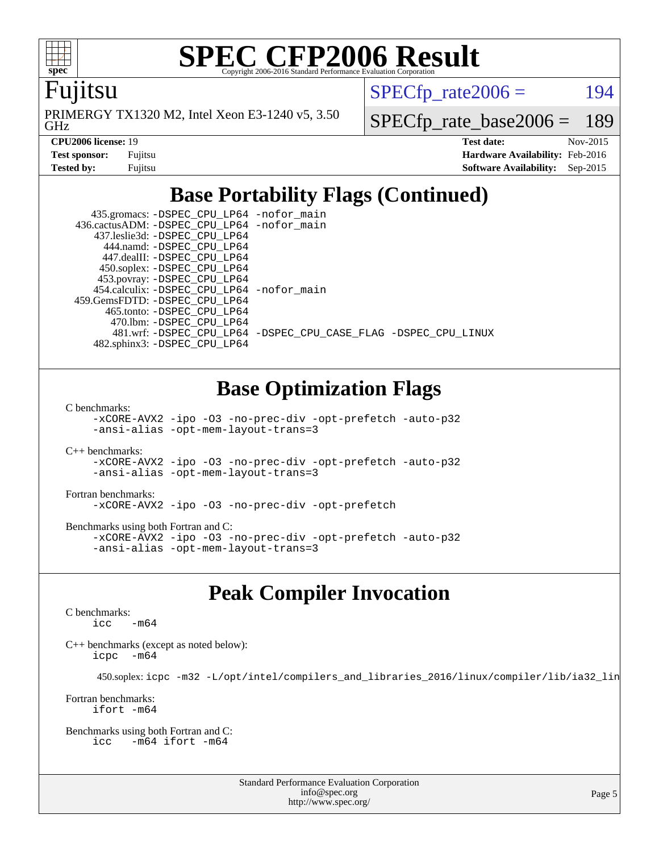

Fujitsu

GHz PRIMERGY TX1320 M2, Intel Xeon E3-1240 v5, 3.50  $SPECTp\_rate2006 = 194$ 

[SPECfp\\_rate\\_base2006 =](http://www.spec.org/auto/cpu2006/Docs/result-fields.html#SPECfpratebase2006) 189

| <b>Test sponsor:</b> | Fujitsu |
|----------------------|---------|
| Tested by:           | Fuiitsu |

**[CPU2006 license:](http://www.spec.org/auto/cpu2006/Docs/result-fields.html#CPU2006license)** 19 **[Test date:](http://www.spec.org/auto/cpu2006/Docs/result-fields.html#Testdate)** Nov-2015 **[Hardware Availability:](http://www.spec.org/auto/cpu2006/Docs/result-fields.html#HardwareAvailability)** Feb-2016 **[Software Availability:](http://www.spec.org/auto/cpu2006/Docs/result-fields.html#SoftwareAvailability)** Sep-2015

## **[Base Portability Flags \(Continued\)](http://www.spec.org/auto/cpu2006/Docs/result-fields.html#BasePortabilityFlags)**

 435.gromacs: [-DSPEC\\_CPU\\_LP64](http://www.spec.org/cpu2006/results/res2016q1/cpu2006-20160111-38687.flags.html#suite_basePORTABILITY435_gromacs_DSPEC_CPU_LP64) [-nofor\\_main](http://www.spec.org/cpu2006/results/res2016q1/cpu2006-20160111-38687.flags.html#user_baseLDPORTABILITY435_gromacs_f-nofor_main) 436.cactusADM: [-DSPEC\\_CPU\\_LP64](http://www.spec.org/cpu2006/results/res2016q1/cpu2006-20160111-38687.flags.html#suite_basePORTABILITY436_cactusADM_DSPEC_CPU_LP64) [-nofor\\_main](http://www.spec.org/cpu2006/results/res2016q1/cpu2006-20160111-38687.flags.html#user_baseLDPORTABILITY436_cactusADM_f-nofor_main) 437.leslie3d: [-DSPEC\\_CPU\\_LP64](http://www.spec.org/cpu2006/results/res2016q1/cpu2006-20160111-38687.flags.html#suite_basePORTABILITY437_leslie3d_DSPEC_CPU_LP64) 444.namd: [-DSPEC\\_CPU\\_LP64](http://www.spec.org/cpu2006/results/res2016q1/cpu2006-20160111-38687.flags.html#suite_basePORTABILITY444_namd_DSPEC_CPU_LP64) 447.dealII: [-DSPEC\\_CPU\\_LP64](http://www.spec.org/cpu2006/results/res2016q1/cpu2006-20160111-38687.flags.html#suite_basePORTABILITY447_dealII_DSPEC_CPU_LP64) 450.soplex: [-DSPEC\\_CPU\\_LP64](http://www.spec.org/cpu2006/results/res2016q1/cpu2006-20160111-38687.flags.html#suite_basePORTABILITY450_soplex_DSPEC_CPU_LP64) 453.povray: [-DSPEC\\_CPU\\_LP64](http://www.spec.org/cpu2006/results/res2016q1/cpu2006-20160111-38687.flags.html#suite_basePORTABILITY453_povray_DSPEC_CPU_LP64) 454.calculix: [-DSPEC\\_CPU\\_LP64](http://www.spec.org/cpu2006/results/res2016q1/cpu2006-20160111-38687.flags.html#suite_basePORTABILITY454_calculix_DSPEC_CPU_LP64) [-nofor\\_main](http://www.spec.org/cpu2006/results/res2016q1/cpu2006-20160111-38687.flags.html#user_baseLDPORTABILITY454_calculix_f-nofor_main) 459.GemsFDTD: [-DSPEC\\_CPU\\_LP64](http://www.spec.org/cpu2006/results/res2016q1/cpu2006-20160111-38687.flags.html#suite_basePORTABILITY459_GemsFDTD_DSPEC_CPU_LP64) 465.tonto: [-DSPEC\\_CPU\\_LP64](http://www.spec.org/cpu2006/results/res2016q1/cpu2006-20160111-38687.flags.html#suite_basePORTABILITY465_tonto_DSPEC_CPU_LP64) 470.lbm: [-DSPEC\\_CPU\\_LP64](http://www.spec.org/cpu2006/results/res2016q1/cpu2006-20160111-38687.flags.html#suite_basePORTABILITY470_lbm_DSPEC_CPU_LP64) 481.wrf: [-DSPEC\\_CPU\\_LP64](http://www.spec.org/cpu2006/results/res2016q1/cpu2006-20160111-38687.flags.html#suite_basePORTABILITY481_wrf_DSPEC_CPU_LP64) [-DSPEC\\_CPU\\_CASE\\_FLAG](http://www.spec.org/cpu2006/results/res2016q1/cpu2006-20160111-38687.flags.html#b481.wrf_baseCPORTABILITY_DSPEC_CPU_CASE_FLAG) [-DSPEC\\_CPU\\_LINUX](http://www.spec.org/cpu2006/results/res2016q1/cpu2006-20160111-38687.flags.html#b481.wrf_baseCPORTABILITY_DSPEC_CPU_LINUX) 482.sphinx3: [-DSPEC\\_CPU\\_LP64](http://www.spec.org/cpu2006/results/res2016q1/cpu2006-20160111-38687.flags.html#suite_basePORTABILITY482_sphinx3_DSPEC_CPU_LP64)

## **[Base Optimization Flags](http://www.spec.org/auto/cpu2006/Docs/result-fields.html#BaseOptimizationFlags)**

[C benchmarks](http://www.spec.org/auto/cpu2006/Docs/result-fields.html#Cbenchmarks):

[-xCORE-AVX2](http://www.spec.org/cpu2006/results/res2016q1/cpu2006-20160111-38687.flags.html#user_CCbase_f-xAVX2_5f5fc0cbe2c9f62c816d3e45806c70d7) [-ipo](http://www.spec.org/cpu2006/results/res2016q1/cpu2006-20160111-38687.flags.html#user_CCbase_f-ipo) [-O3](http://www.spec.org/cpu2006/results/res2016q1/cpu2006-20160111-38687.flags.html#user_CCbase_f-O3) [-no-prec-div](http://www.spec.org/cpu2006/results/res2016q1/cpu2006-20160111-38687.flags.html#user_CCbase_f-no-prec-div) [-opt-prefetch](http://www.spec.org/cpu2006/results/res2016q1/cpu2006-20160111-38687.flags.html#user_CCbase_f-opt-prefetch) [-auto-p32](http://www.spec.org/cpu2006/results/res2016q1/cpu2006-20160111-38687.flags.html#user_CCbase_f-auto-p32) [-ansi-alias](http://www.spec.org/cpu2006/results/res2016q1/cpu2006-20160111-38687.flags.html#user_CCbase_f-ansi-alias) [-opt-mem-layout-trans=3](http://www.spec.org/cpu2006/results/res2016q1/cpu2006-20160111-38687.flags.html#user_CCbase_f-opt-mem-layout-trans_a7b82ad4bd7abf52556d4961a2ae94d5)

[C++ benchmarks:](http://www.spec.org/auto/cpu2006/Docs/result-fields.html#CXXbenchmarks) [-xCORE-AVX2](http://www.spec.org/cpu2006/results/res2016q1/cpu2006-20160111-38687.flags.html#user_CXXbase_f-xAVX2_5f5fc0cbe2c9f62c816d3e45806c70d7) [-ipo](http://www.spec.org/cpu2006/results/res2016q1/cpu2006-20160111-38687.flags.html#user_CXXbase_f-ipo) [-O3](http://www.spec.org/cpu2006/results/res2016q1/cpu2006-20160111-38687.flags.html#user_CXXbase_f-O3) [-no-prec-div](http://www.spec.org/cpu2006/results/res2016q1/cpu2006-20160111-38687.flags.html#user_CXXbase_f-no-prec-div) [-opt-prefetch](http://www.spec.org/cpu2006/results/res2016q1/cpu2006-20160111-38687.flags.html#user_CXXbase_f-opt-prefetch) [-auto-p32](http://www.spec.org/cpu2006/results/res2016q1/cpu2006-20160111-38687.flags.html#user_CXXbase_f-auto-p32) [-ansi-alias](http://www.spec.org/cpu2006/results/res2016q1/cpu2006-20160111-38687.flags.html#user_CXXbase_f-ansi-alias) [-opt-mem-layout-trans=3](http://www.spec.org/cpu2006/results/res2016q1/cpu2006-20160111-38687.flags.html#user_CXXbase_f-opt-mem-layout-trans_a7b82ad4bd7abf52556d4961a2ae94d5)

[Fortran benchmarks](http://www.spec.org/auto/cpu2006/Docs/result-fields.html#Fortranbenchmarks): [-xCORE-AVX2](http://www.spec.org/cpu2006/results/res2016q1/cpu2006-20160111-38687.flags.html#user_FCbase_f-xAVX2_5f5fc0cbe2c9f62c816d3e45806c70d7) [-ipo](http://www.spec.org/cpu2006/results/res2016q1/cpu2006-20160111-38687.flags.html#user_FCbase_f-ipo) [-O3](http://www.spec.org/cpu2006/results/res2016q1/cpu2006-20160111-38687.flags.html#user_FCbase_f-O3) [-no-prec-div](http://www.spec.org/cpu2006/results/res2016q1/cpu2006-20160111-38687.flags.html#user_FCbase_f-no-prec-div) [-opt-prefetch](http://www.spec.org/cpu2006/results/res2016q1/cpu2006-20160111-38687.flags.html#user_FCbase_f-opt-prefetch)

[Benchmarks using both Fortran and C](http://www.spec.org/auto/cpu2006/Docs/result-fields.html#BenchmarksusingbothFortranandC): [-xCORE-AVX2](http://www.spec.org/cpu2006/results/res2016q1/cpu2006-20160111-38687.flags.html#user_CC_FCbase_f-xAVX2_5f5fc0cbe2c9f62c816d3e45806c70d7) [-ipo](http://www.spec.org/cpu2006/results/res2016q1/cpu2006-20160111-38687.flags.html#user_CC_FCbase_f-ipo) [-O3](http://www.spec.org/cpu2006/results/res2016q1/cpu2006-20160111-38687.flags.html#user_CC_FCbase_f-O3) [-no-prec-div](http://www.spec.org/cpu2006/results/res2016q1/cpu2006-20160111-38687.flags.html#user_CC_FCbase_f-no-prec-div) [-opt-prefetch](http://www.spec.org/cpu2006/results/res2016q1/cpu2006-20160111-38687.flags.html#user_CC_FCbase_f-opt-prefetch) [-auto-p32](http://www.spec.org/cpu2006/results/res2016q1/cpu2006-20160111-38687.flags.html#user_CC_FCbase_f-auto-p32) [-ansi-alias](http://www.spec.org/cpu2006/results/res2016q1/cpu2006-20160111-38687.flags.html#user_CC_FCbase_f-ansi-alias) [-opt-mem-layout-trans=3](http://www.spec.org/cpu2006/results/res2016q1/cpu2006-20160111-38687.flags.html#user_CC_FCbase_f-opt-mem-layout-trans_a7b82ad4bd7abf52556d4961a2ae94d5)

### **[Peak Compiler Invocation](http://www.spec.org/auto/cpu2006/Docs/result-fields.html#PeakCompilerInvocation)**

[C benchmarks](http://www.spec.org/auto/cpu2006/Docs/result-fields.html#Cbenchmarks):  $\text{icc}$   $-\text{m64}$ 

[C++ benchmarks \(except as noted below\):](http://www.spec.org/auto/cpu2006/Docs/result-fields.html#CXXbenchmarksexceptasnotedbelow) [icpc -m64](http://www.spec.org/cpu2006/results/res2016q1/cpu2006-20160111-38687.flags.html#user_CXXpeak_intel_icpc_64bit_bedb90c1146cab66620883ef4f41a67e)

450.soplex: [icpc -m32 -L/opt/intel/compilers\\_and\\_libraries\\_2016/linux/compiler/lib/ia32\\_lin](http://www.spec.org/cpu2006/results/res2016q1/cpu2006-20160111-38687.flags.html#user_peakCXXLD450_soplex_intel_icpc_b4f50a394bdb4597aa5879c16bc3f5c5)

[Fortran benchmarks](http://www.spec.org/auto/cpu2006/Docs/result-fields.html#Fortranbenchmarks): [ifort -m64](http://www.spec.org/cpu2006/results/res2016q1/cpu2006-20160111-38687.flags.html#user_FCpeak_intel_ifort_64bit_ee9d0fb25645d0210d97eb0527dcc06e)

[Benchmarks using both Fortran and C](http://www.spec.org/auto/cpu2006/Docs/result-fields.html#BenchmarksusingbothFortranandC): [icc -m64](http://www.spec.org/cpu2006/results/res2016q1/cpu2006-20160111-38687.flags.html#user_CC_FCpeak_intel_icc_64bit_0b7121f5ab7cfabee23d88897260401c) [ifort -m64](http://www.spec.org/cpu2006/results/res2016q1/cpu2006-20160111-38687.flags.html#user_CC_FCpeak_intel_ifort_64bit_ee9d0fb25645d0210d97eb0527dcc06e)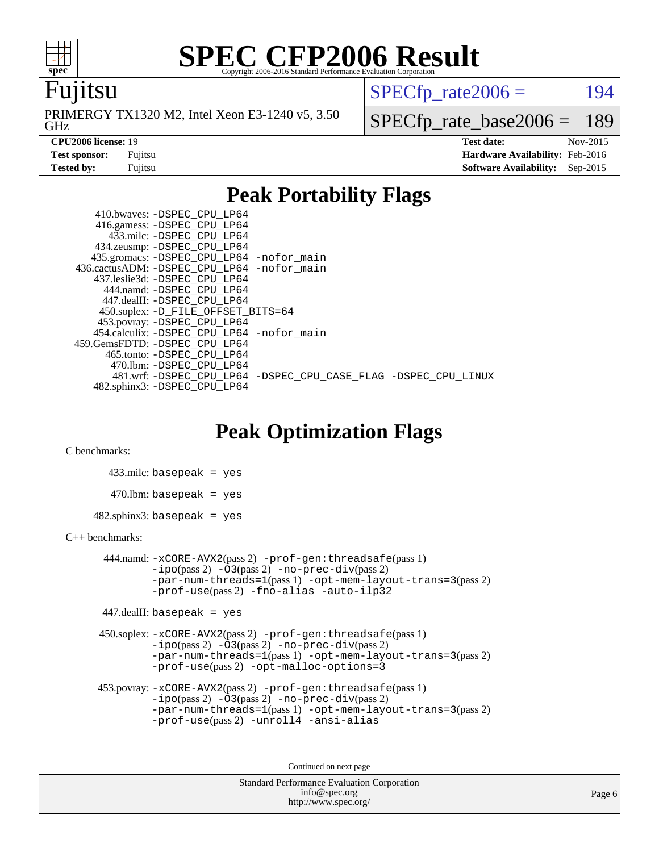

#### Fujitsu

GHz PRIMERGY TX1320 M2, Intel Xeon E3-1240 v5, 3.50  $SPECTp\_rate2006 = 194$ 

[SPECfp\\_rate\\_base2006 =](http://www.spec.org/auto/cpu2006/Docs/result-fields.html#SPECfpratebase2006) 189

**[CPU2006 license:](http://www.spec.org/auto/cpu2006/Docs/result-fields.html#CPU2006license)** 19 **[Test date:](http://www.spec.org/auto/cpu2006/Docs/result-fields.html#Testdate)** Nov-2015 **[Test sponsor:](http://www.spec.org/auto/cpu2006/Docs/result-fields.html#Testsponsor)** Fujitsu **[Hardware Availability:](http://www.spec.org/auto/cpu2006/Docs/result-fields.html#HardwareAvailability)** Feb-2016 **[Tested by:](http://www.spec.org/auto/cpu2006/Docs/result-fields.html#Testedby)** Fujitsu **[Software Availability:](http://www.spec.org/auto/cpu2006/Docs/result-fields.html#SoftwareAvailability)** Sep-2015

### **[Peak Portability Flags](http://www.spec.org/auto/cpu2006/Docs/result-fields.html#PeakPortabilityFlags)**

 410.bwaves: [-DSPEC\\_CPU\\_LP64](http://www.spec.org/cpu2006/results/res2016q1/cpu2006-20160111-38687.flags.html#suite_peakPORTABILITY410_bwaves_DSPEC_CPU_LP64) 416.gamess: [-DSPEC\\_CPU\\_LP64](http://www.spec.org/cpu2006/results/res2016q1/cpu2006-20160111-38687.flags.html#suite_peakPORTABILITY416_gamess_DSPEC_CPU_LP64) 433.milc: [-DSPEC\\_CPU\\_LP64](http://www.spec.org/cpu2006/results/res2016q1/cpu2006-20160111-38687.flags.html#suite_peakPORTABILITY433_milc_DSPEC_CPU_LP64) 434.zeusmp: [-DSPEC\\_CPU\\_LP64](http://www.spec.org/cpu2006/results/res2016q1/cpu2006-20160111-38687.flags.html#suite_peakPORTABILITY434_zeusmp_DSPEC_CPU_LP64) 435.gromacs: [-DSPEC\\_CPU\\_LP64](http://www.spec.org/cpu2006/results/res2016q1/cpu2006-20160111-38687.flags.html#suite_peakPORTABILITY435_gromacs_DSPEC_CPU_LP64) [-nofor\\_main](http://www.spec.org/cpu2006/results/res2016q1/cpu2006-20160111-38687.flags.html#user_peakLDPORTABILITY435_gromacs_f-nofor_main) 436.cactusADM: [-DSPEC\\_CPU\\_LP64](http://www.spec.org/cpu2006/results/res2016q1/cpu2006-20160111-38687.flags.html#suite_peakPORTABILITY436_cactusADM_DSPEC_CPU_LP64) [-nofor\\_main](http://www.spec.org/cpu2006/results/res2016q1/cpu2006-20160111-38687.flags.html#user_peakLDPORTABILITY436_cactusADM_f-nofor_main) 437.leslie3d: [-DSPEC\\_CPU\\_LP64](http://www.spec.org/cpu2006/results/res2016q1/cpu2006-20160111-38687.flags.html#suite_peakPORTABILITY437_leslie3d_DSPEC_CPU_LP64) 444.namd: [-DSPEC\\_CPU\\_LP64](http://www.spec.org/cpu2006/results/res2016q1/cpu2006-20160111-38687.flags.html#suite_peakPORTABILITY444_namd_DSPEC_CPU_LP64) 447.dealII: [-DSPEC\\_CPU\\_LP64](http://www.spec.org/cpu2006/results/res2016q1/cpu2006-20160111-38687.flags.html#suite_peakPORTABILITY447_dealII_DSPEC_CPU_LP64) 450.soplex: [-D\\_FILE\\_OFFSET\\_BITS=64](http://www.spec.org/cpu2006/results/res2016q1/cpu2006-20160111-38687.flags.html#user_peakPORTABILITY450_soplex_file_offset_bits_64_438cf9856305ebd76870a2c6dc2689ab) 453.povray: [-DSPEC\\_CPU\\_LP64](http://www.spec.org/cpu2006/results/res2016q1/cpu2006-20160111-38687.flags.html#suite_peakPORTABILITY453_povray_DSPEC_CPU_LP64) 454.calculix: [-DSPEC\\_CPU\\_LP64](http://www.spec.org/cpu2006/results/res2016q1/cpu2006-20160111-38687.flags.html#suite_peakPORTABILITY454_calculix_DSPEC_CPU_LP64) [-nofor\\_main](http://www.spec.org/cpu2006/results/res2016q1/cpu2006-20160111-38687.flags.html#user_peakLDPORTABILITY454_calculix_f-nofor_main) 459.GemsFDTD: [-DSPEC\\_CPU\\_LP64](http://www.spec.org/cpu2006/results/res2016q1/cpu2006-20160111-38687.flags.html#suite_peakPORTABILITY459_GemsFDTD_DSPEC_CPU_LP64) 465.tonto: [-DSPEC\\_CPU\\_LP64](http://www.spec.org/cpu2006/results/res2016q1/cpu2006-20160111-38687.flags.html#suite_peakPORTABILITY465_tonto_DSPEC_CPU_LP64) 470.lbm: [-DSPEC\\_CPU\\_LP64](http://www.spec.org/cpu2006/results/res2016q1/cpu2006-20160111-38687.flags.html#suite_peakPORTABILITY470_lbm_DSPEC_CPU_LP64) 481.wrf: [-DSPEC\\_CPU\\_LP64](http://www.spec.org/cpu2006/results/res2016q1/cpu2006-20160111-38687.flags.html#suite_peakPORTABILITY481_wrf_DSPEC_CPU_LP64) [-DSPEC\\_CPU\\_CASE\\_FLAG](http://www.spec.org/cpu2006/results/res2016q1/cpu2006-20160111-38687.flags.html#b481.wrf_peakCPORTABILITY_DSPEC_CPU_CASE_FLAG) [-DSPEC\\_CPU\\_LINUX](http://www.spec.org/cpu2006/results/res2016q1/cpu2006-20160111-38687.flags.html#b481.wrf_peakCPORTABILITY_DSPEC_CPU_LINUX) 482.sphinx3: [-DSPEC\\_CPU\\_LP64](http://www.spec.org/cpu2006/results/res2016q1/cpu2006-20160111-38687.flags.html#suite_peakPORTABILITY482_sphinx3_DSPEC_CPU_LP64)

### **[Peak Optimization Flags](http://www.spec.org/auto/cpu2006/Docs/result-fields.html#PeakOptimizationFlags)**

[C benchmarks](http://www.spec.org/auto/cpu2006/Docs/result-fields.html#Cbenchmarks):

 433.milc: basepeak = yes  $470.1$ bm: basepeak = yes  $482$ .sphinx3: basepeak = yes

#### [C++ benchmarks:](http://www.spec.org/auto/cpu2006/Docs/result-fields.html#CXXbenchmarks)

 444.namd: [-xCORE-AVX2](http://www.spec.org/cpu2006/results/res2016q1/cpu2006-20160111-38687.flags.html#user_peakPASS2_CXXFLAGSPASS2_LDFLAGS444_namd_f-xAVX2_5f5fc0cbe2c9f62c816d3e45806c70d7)(pass 2) [-prof-gen:threadsafe](http://www.spec.org/cpu2006/results/res2016q1/cpu2006-20160111-38687.flags.html#user_peakPASS1_CXXFLAGSPASS1_LDFLAGS444_namd_prof_gen_21a26eb79f378b550acd7bec9fe4467a)(pass 1)  $-i\text{po}(pass 2) -03(pass 2) -no-prec-div(pass 2)$  $-i\text{po}(pass 2) -03(pass 2) -no-prec-div(pass 2)$  $-i\text{po}(pass 2) -03(pass 2) -no-prec-div(pass 2)$ [-par-num-threads=1](http://www.spec.org/cpu2006/results/res2016q1/cpu2006-20160111-38687.flags.html#user_peakPASS1_CXXFLAGSPASS1_LDFLAGS444_namd_par_num_threads_786a6ff141b4e9e90432e998842df6c2)(pass 1) [-opt-mem-layout-trans=3](http://www.spec.org/cpu2006/results/res2016q1/cpu2006-20160111-38687.flags.html#user_peakPASS2_CXXFLAGS444_namd_f-opt-mem-layout-trans_a7b82ad4bd7abf52556d4961a2ae94d5)(pass 2) [-prof-use](http://www.spec.org/cpu2006/results/res2016q1/cpu2006-20160111-38687.flags.html#user_peakPASS2_CXXFLAGSPASS2_LDFLAGS444_namd_prof_use_bccf7792157ff70d64e32fe3e1250b55)(pass 2) [-fno-alias](http://www.spec.org/cpu2006/results/res2016q1/cpu2006-20160111-38687.flags.html#user_peakCXXOPTIMIZE444_namd_f-no-alias_694e77f6c5a51e658e82ccff53a9e63a) [-auto-ilp32](http://www.spec.org/cpu2006/results/res2016q1/cpu2006-20160111-38687.flags.html#user_peakCXXOPTIMIZE444_namd_f-auto-ilp32)

447.dealII: basepeak = yes

 450.soplex: [-xCORE-AVX2](http://www.spec.org/cpu2006/results/res2016q1/cpu2006-20160111-38687.flags.html#user_peakPASS2_CXXFLAGSPASS2_LDFLAGS450_soplex_f-xAVX2_5f5fc0cbe2c9f62c816d3e45806c70d7)(pass 2) [-prof-gen:threadsafe](http://www.spec.org/cpu2006/results/res2016q1/cpu2006-20160111-38687.flags.html#user_peakPASS1_CXXFLAGSPASS1_LDFLAGS450_soplex_prof_gen_21a26eb79f378b550acd7bec9fe4467a)(pass 1)  $-i\text{po}(pass 2) -\tilde{O}3(pass 2)$  -no- $\bar{p}rec-div(pass 2)$ [-par-num-threads=1](http://www.spec.org/cpu2006/results/res2016q1/cpu2006-20160111-38687.flags.html#user_peakPASS1_CXXFLAGSPASS1_LDFLAGS450_soplex_par_num_threads_786a6ff141b4e9e90432e998842df6c2)(pass 1) [-opt-mem-layout-trans=3](http://www.spec.org/cpu2006/results/res2016q1/cpu2006-20160111-38687.flags.html#user_peakPASS2_CXXFLAGS450_soplex_f-opt-mem-layout-trans_a7b82ad4bd7abf52556d4961a2ae94d5)(pass 2) [-prof-use](http://www.spec.org/cpu2006/results/res2016q1/cpu2006-20160111-38687.flags.html#user_peakPASS2_CXXFLAGSPASS2_LDFLAGS450_soplex_prof_use_bccf7792157ff70d64e32fe3e1250b55)(pass 2) [-opt-malloc-options=3](http://www.spec.org/cpu2006/results/res2016q1/cpu2006-20160111-38687.flags.html#user_peakOPTIMIZE450_soplex_f-opt-malloc-options_13ab9b803cf986b4ee62f0a5998c2238)

```
 453.povray: -xCORE-AVX2(pass 2) -prof-gen:threadsafe(pass 1)
-no-prec-div(pass 2)-par-num-threads=1(pass 1) -opt-mem-layout-trans=3(pass 2)
-prof-use(pass 2) -unroll4 -ansi-alias
```
Continued on next page

```
Standard Performance Evaluation Corporation
      info@spec.org
   http://www.spec.org/
```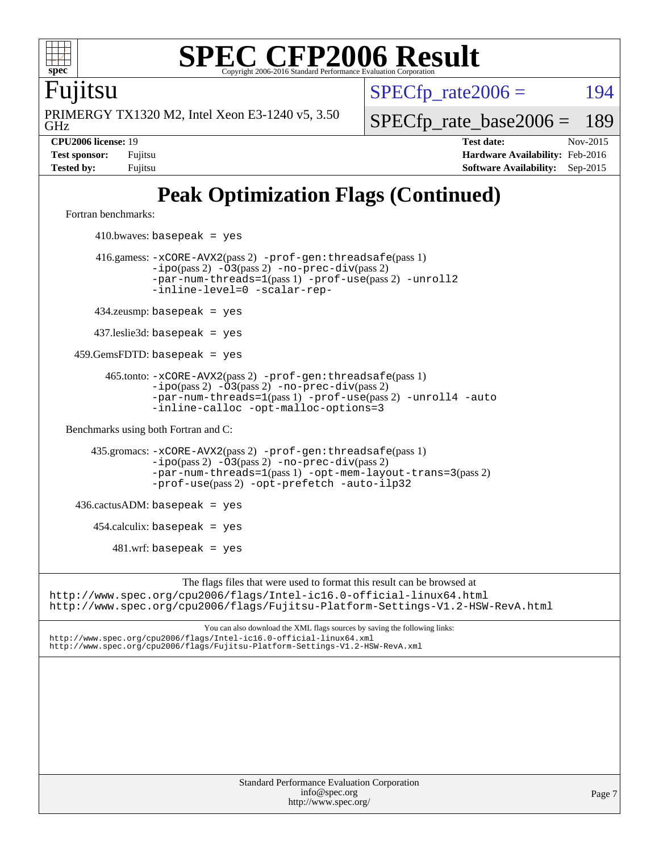

Fujitsu

GHz PRIMERGY TX1320 M2, Intel Xeon E3-1240 v5, 3.50  $SPECTp\_rate2006 = 194$ 

[SPECfp\\_rate\\_base2006 =](http://www.spec.org/auto/cpu2006/Docs/result-fields.html#SPECfpratebase2006) 189

**[CPU2006 license:](http://www.spec.org/auto/cpu2006/Docs/result-fields.html#CPU2006license)** 19 **[Test date:](http://www.spec.org/auto/cpu2006/Docs/result-fields.html#Testdate)** Nov-2015 **[Test sponsor:](http://www.spec.org/auto/cpu2006/Docs/result-fields.html#Testsponsor)** Fujitsu **[Hardware Availability:](http://www.spec.org/auto/cpu2006/Docs/result-fields.html#HardwareAvailability)** Feb-2016 **[Tested by:](http://www.spec.org/auto/cpu2006/Docs/result-fields.html#Testedby)** Fujitsu **[Software Availability:](http://www.spec.org/auto/cpu2006/Docs/result-fields.html#SoftwareAvailability)** Sep-2015

# **[Peak Optimization Flags \(Continued\)](http://www.spec.org/auto/cpu2006/Docs/result-fields.html#PeakOptimizationFlags)**

[Fortran benchmarks](http://www.spec.org/auto/cpu2006/Docs/result-fields.html#Fortranbenchmarks):

 $410.bwaves: basepeak = yes$  416.gamess: [-xCORE-AVX2](http://www.spec.org/cpu2006/results/res2016q1/cpu2006-20160111-38687.flags.html#user_peakPASS2_FFLAGSPASS2_LDFLAGS416_gamess_f-xAVX2_5f5fc0cbe2c9f62c816d3e45806c70d7)(pass 2) [-prof-gen:threadsafe](http://www.spec.org/cpu2006/results/res2016q1/cpu2006-20160111-38687.flags.html#user_peakPASS1_FFLAGSPASS1_LDFLAGS416_gamess_prof_gen_21a26eb79f378b550acd7bec9fe4467a)(pass 1)  $-i\text{po}(pass 2) -03(pass 2) -no-prec-div(pass 2)$  $-i\text{po}(pass 2) -03(pass 2) -no-prec-div(pass 2)$  $-i\text{po}(pass 2) -03(pass 2) -no-prec-div(pass 2)$ [-par-num-threads=1](http://www.spec.org/cpu2006/results/res2016q1/cpu2006-20160111-38687.flags.html#user_peakPASS1_FFLAGSPASS1_LDFLAGS416_gamess_par_num_threads_786a6ff141b4e9e90432e998842df6c2)(pass 1) [-prof-use](http://www.spec.org/cpu2006/results/res2016q1/cpu2006-20160111-38687.flags.html#user_peakPASS2_FFLAGSPASS2_LDFLAGS416_gamess_prof_use_bccf7792157ff70d64e32fe3e1250b55)(pass 2) [-unroll2](http://www.spec.org/cpu2006/results/res2016q1/cpu2006-20160111-38687.flags.html#user_peakOPTIMIZE416_gamess_f-unroll_784dae83bebfb236979b41d2422d7ec2) [-inline-level=0](http://www.spec.org/cpu2006/results/res2016q1/cpu2006-20160111-38687.flags.html#user_peakOPTIMIZE416_gamess_f-inline-level_318d07a09274ad25e8d15dbfaa68ba50) [-scalar-rep-](http://www.spec.org/cpu2006/results/res2016q1/cpu2006-20160111-38687.flags.html#user_peakOPTIMIZE416_gamess_f-disablescalarrep_abbcad04450fb118e4809c81d83c8a1d) 434.zeusmp: basepeak = yes 437.leslie3d: basepeak = yes 459.GemsFDTD: basepeak = yes 465.tonto: [-xCORE-AVX2](http://www.spec.org/cpu2006/results/res2016q1/cpu2006-20160111-38687.flags.html#user_peakPASS2_FFLAGSPASS2_LDFLAGS465_tonto_f-xAVX2_5f5fc0cbe2c9f62c816d3e45806c70d7)(pass 2) [-prof-gen:threadsafe](http://www.spec.org/cpu2006/results/res2016q1/cpu2006-20160111-38687.flags.html#user_peakPASS1_FFLAGSPASS1_LDFLAGS465_tonto_prof_gen_21a26eb79f378b550acd7bec9fe4467a)(pass 1)  $-ipo(pass 2)$  $-ipo(pass 2)$   $-03(pass 2)$   $-no-prec-div(pass 2)$  $-no-prec-div(pass 2)$ [-par-num-threads=1](http://www.spec.org/cpu2006/results/res2016q1/cpu2006-20160111-38687.flags.html#user_peakPASS1_FFLAGSPASS1_LDFLAGS465_tonto_par_num_threads_786a6ff141b4e9e90432e998842df6c2)(pass 1) [-prof-use](http://www.spec.org/cpu2006/results/res2016q1/cpu2006-20160111-38687.flags.html#user_peakPASS2_FFLAGSPASS2_LDFLAGS465_tonto_prof_use_bccf7792157ff70d64e32fe3e1250b55)(pass 2) [-unroll4](http://www.spec.org/cpu2006/results/res2016q1/cpu2006-20160111-38687.flags.html#user_peakOPTIMIZE465_tonto_f-unroll_4e5e4ed65b7fd20bdcd365bec371b81f) [-auto](http://www.spec.org/cpu2006/results/res2016q1/cpu2006-20160111-38687.flags.html#user_peakOPTIMIZE465_tonto_f-auto) [-inline-calloc](http://www.spec.org/cpu2006/results/res2016q1/cpu2006-20160111-38687.flags.html#user_peakOPTIMIZE465_tonto_f-inline-calloc) [-opt-malloc-options=3](http://www.spec.org/cpu2006/results/res2016q1/cpu2006-20160111-38687.flags.html#user_peakOPTIMIZE465_tonto_f-opt-malloc-options_13ab9b803cf986b4ee62f0a5998c2238) [Benchmarks using both Fortran and C](http://www.spec.org/auto/cpu2006/Docs/result-fields.html#BenchmarksusingbothFortranandC): 435.gromacs: [-xCORE-AVX2](http://www.spec.org/cpu2006/results/res2016q1/cpu2006-20160111-38687.flags.html#user_peakPASS2_CFLAGSPASS2_FFLAGSPASS2_LDFLAGS435_gromacs_f-xAVX2_5f5fc0cbe2c9f62c816d3e45806c70d7)(pass 2) [-prof-gen:threadsafe](http://www.spec.org/cpu2006/results/res2016q1/cpu2006-20160111-38687.flags.html#user_peakPASS1_CFLAGSPASS1_FFLAGSPASS1_LDFLAGS435_gromacs_prof_gen_21a26eb79f378b550acd7bec9fe4467a)(pass 1) [-ipo](http://www.spec.org/cpu2006/results/res2016q1/cpu2006-20160111-38687.flags.html#user_peakPASS2_CFLAGSPASS2_FFLAGSPASS2_LDFLAGS435_gromacs_f-ipo)(pass 2) [-O3](http://www.spec.org/cpu2006/results/res2016q1/cpu2006-20160111-38687.flags.html#user_peakPASS2_CFLAGSPASS2_FFLAGSPASS2_LDFLAGS435_gromacs_f-O3)(pass 2) [-no-prec-div](http://www.spec.org/cpu2006/results/res2016q1/cpu2006-20160111-38687.flags.html#user_peakPASS2_CFLAGSPASS2_FFLAGSPASS2_LDFLAGS435_gromacs_f-no-prec-div)(pass 2) [-par-num-threads=1](http://www.spec.org/cpu2006/results/res2016q1/cpu2006-20160111-38687.flags.html#user_peakPASS1_CFLAGSPASS1_FFLAGSPASS1_LDFLAGS435_gromacs_par_num_threads_786a6ff141b4e9e90432e998842df6c2)(pass 1) [-opt-mem-layout-trans=3](http://www.spec.org/cpu2006/results/res2016q1/cpu2006-20160111-38687.flags.html#user_peakPASS2_CFLAGS435_gromacs_f-opt-mem-layout-trans_a7b82ad4bd7abf52556d4961a2ae94d5)(pass 2) [-prof-use](http://www.spec.org/cpu2006/results/res2016q1/cpu2006-20160111-38687.flags.html#user_peakPASS2_CFLAGSPASS2_FFLAGSPASS2_LDFLAGS435_gromacs_prof_use_bccf7792157ff70d64e32fe3e1250b55)(pass 2) [-opt-prefetch](http://www.spec.org/cpu2006/results/res2016q1/cpu2006-20160111-38687.flags.html#user_peakOPTIMIZE435_gromacs_f-opt-prefetch) [-auto-ilp32](http://www.spec.org/cpu2006/results/res2016q1/cpu2006-20160111-38687.flags.html#user_peakCOPTIMIZE435_gromacs_f-auto-ilp32)  $436.cactusADM:basepeak = yes$  454.calculix: basepeak = yes  $481.$ wrf: basepeak = yes The flags files that were used to format this result can be browsed at <http://www.spec.org/cpu2006/flags/Intel-ic16.0-official-linux64.html> <http://www.spec.org/cpu2006/flags/Fujitsu-Platform-Settings-V1.2-HSW-RevA.html> You can also download the XML flags sources by saving the following links: <http://www.spec.org/cpu2006/flags/Intel-ic16.0-official-linux64.xml> <http://www.spec.org/cpu2006/flags/Fujitsu-Platform-Settings-V1.2-HSW-RevA.xml>